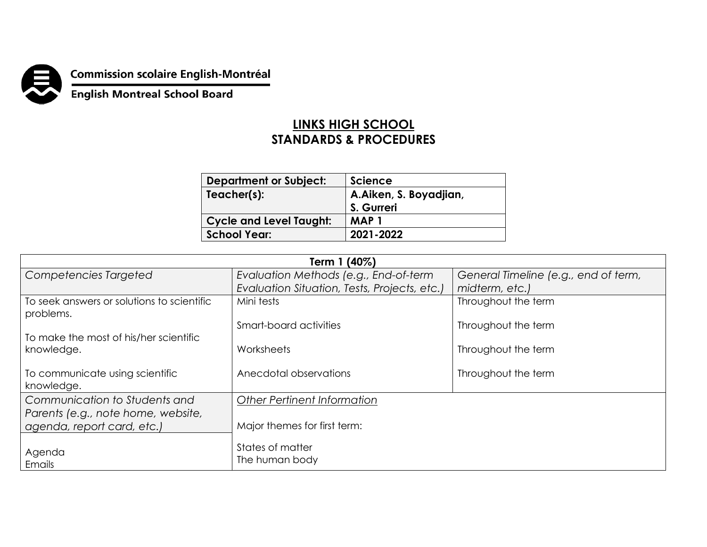**Commission scolaire English-Montréal<br>English Montreal School Board** 

## **LINKS HIGH SCHOOL STANDARDS & PROCEDURES**

| <b>Department or Subject:</b>  | <b>Science</b>         |  |
|--------------------------------|------------------------|--|
| Teacher(s):                    | A.Aiken, S. Boyadjian, |  |
|                                | S. Gurreri             |  |
| <b>Cycle and Level Taught:</b> | <b>MAP1</b>            |  |
| <b>School Year:</b>            | 2021-2022              |  |

| Term 1 (40%)                                                     |                                              |                                      |  |  |
|------------------------------------------------------------------|----------------------------------------------|--------------------------------------|--|--|
| Competencies Targeted                                            | Evaluation Methods (e.g., End-of-term        | General Timeline (e.g., end of term, |  |  |
|                                                                  | Evaluation Situation, Tests, Projects, etc.) | midterm, etc.)                       |  |  |
| To seek answers or solutions to scientific<br>problems.          | Mini tests                                   | Throughout the term                  |  |  |
| To make the most of his/her scientific                           | Smart-board activities                       | Throughout the term                  |  |  |
| knowledge.                                                       | Worksheets                                   | Throughout the term                  |  |  |
| To communicate using scientific<br>knowledge.                    | Anecdotal observations                       | Throughout the term                  |  |  |
| Communication to Students and                                    | <b>Other Pertinent Information</b>           |                                      |  |  |
| Parents (e.g., note home, website,<br>agenda, report card, etc.) | Major themes for first term:                 |                                      |  |  |
| Agenda<br>Emails                                                 | States of matter<br>The human body           |                                      |  |  |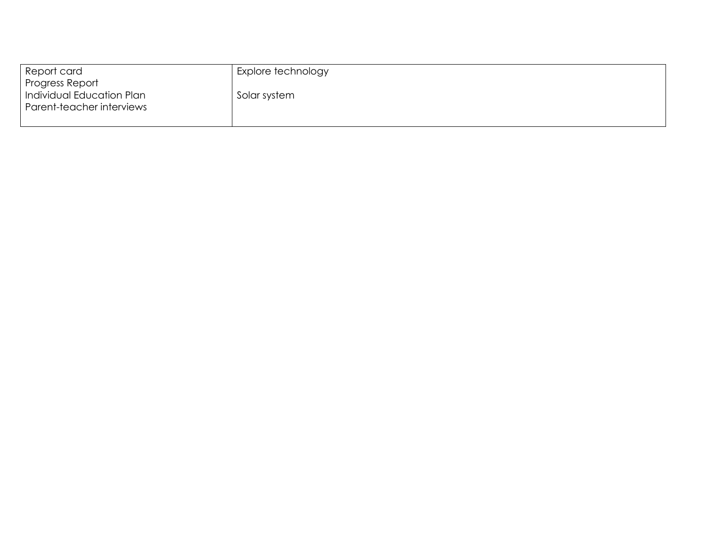| Report card               | Explore technology |
|---------------------------|--------------------|
| Progress Report           |                    |
| Individual Education Plan | Solar system       |
| Parent-teacher interviews |                    |
|                           |                    |